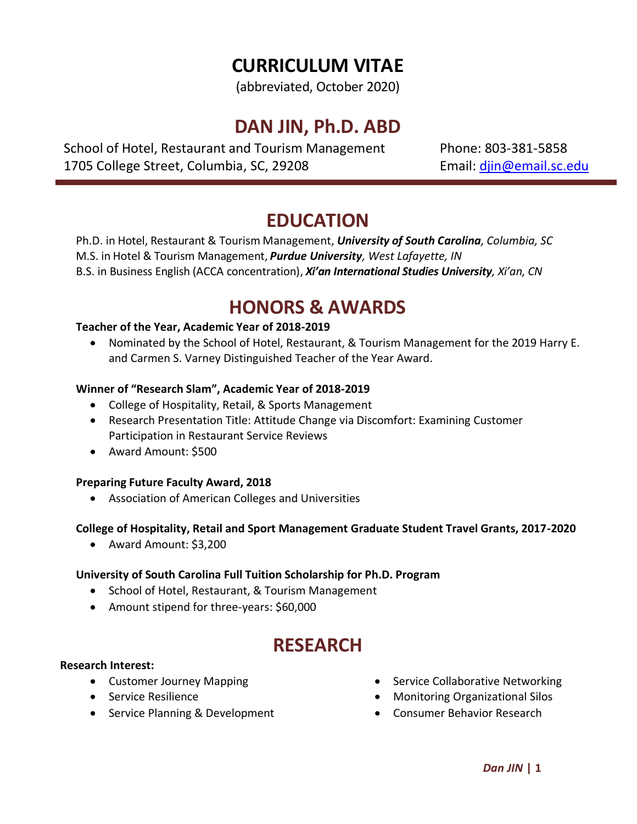# **CURRICULUM VITAE**

(abbreviated, October 2020)

## **DAN JIN, Ph.D. ABD**

School of Hotel, Restaurant and Tourism Management Phone: 803-381-5858 1705 College Street, Columbia, SC, 29208 **Email:** din@email.sc.edu

### **EDUCATION**

Ph.D. in Hotel, Restaurant & Tourism Management, *University of South Carolina, Columbia, SC* M.S. in Hotel & Tourism Management, *Purdue University, West Lafayette, IN* B.S. in Business English (ACCA concentration), *Xi'an International Studies University, Xi'an, CN*

## **HONORS & AWARDS**

#### **Teacher of the Year, Academic Year of 2018-2019**

• Nominated by the School of Hotel, Restaurant, & Tourism Management for the 2019 Harry E. and Carmen S. Varney Distinguished Teacher of the Year Award.

### **Winner of "Research Slam", Academic Year of 2018-2019**

- College of Hospitality, Retail, & Sports Management
- Research Presentation Title: Attitude Change via Discomfort: Examining Customer Participation in Restaurant Service Reviews
- Award Amount: \$500

#### **Preparing Future Faculty Award, 2018**

• Association of American Colleges and Universities

### **College of Hospitality, Retail and Sport Management Graduate Student Travel Grants, 2017-2020**

• Award Amount: \$3,200

### **University of South Carolina Full Tuition Scholarship for Ph.D. Program**

- School of Hotel, Restaurant, & Tourism Management
- Amount stipend for three-years: \$60,000

### **RESEARCH**

#### **Research Interest:**

- Customer Journey Mapping
- Service Resilience
- Service Planning & Development
- Service Collaborative Networking
- Monitoring Organizational Silos
- Consumer Behavior Research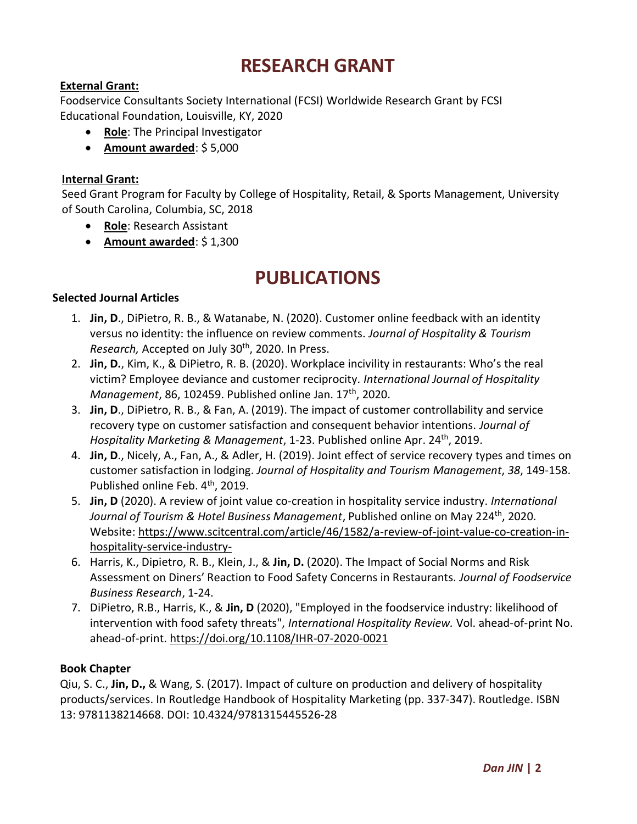## **RESEARCH GRANT**

### **External Grant:**

[Foodservice Consultants Society International \(FCSI\)](http://www.fcsi.org/) Worldwide Research Grant by FCSI Educational Foundation, Louisville, KY, 2020

- **Role**: The Principal Investigator
- **Amount awarded**: \$ 5,000

#### **Internal Grant:**

Seed Grant Program for Faculty by College of Hospitality, Retail, & Sports Management, University of South Carolina, Columbia, SC, 2018

- **Role**: Research Assistant
- **Amount awarded**: \$ 1,300

### **PUBLICATIONS**

#### **Selected Journal Articles**

- 1. **Jin, D**., DiPietro, R. B., & Watanabe, N. (2020). Customer online feedback with an identity versus no identity: the influence on review comments. *Journal of Hospitality & Tourism Research,* Accepted on July 30th, 2020. In Press.
- 2. **Jin, D.**, Kim, K., & DiPietro, R. B. (2020). Workplace incivility in restaurants: Who's the real victim? Employee deviance and customer reciprocity*. International Journal of Hospitality Management*, 86, 102459. Published online Jan. 17th, 2020.
- 3. **Jin, D**., DiPietro, R. B., & Fan, A. (2019). The impact of customer controllability and service recovery type on customer satisfaction and consequent behavior intentions. *Journal of Hospitality Marketing & Management*, 1-23. Published online Apr. 24th, 2019.
- 4. **Jin, D**., Nicely, A., Fan, A., & Adler, H. (2019). Joint effect of service recovery types and times on customer satisfaction in lodging. *Journal of Hospitality and Tourism Management*, *38*, 149-158. Published online Feb. 4<sup>th</sup>, 2019.
- 5. **Jin, D** (2020). A review of joint value co-creation in hospitality service industry. *International*  Journal of Tourism & Hotel Business Management, Published online on May 224<sup>th</sup>, 2020. Website: [https://www.scitcentral.com/article/46/1582/a-review-of-joint-value-co-creation-in](https://www.scitcentral.com/article/46/1582/a-review-of-joint-value-co-creation-in-hospitality-service-industry-)[hospitality-service-industry-](https://www.scitcentral.com/article/46/1582/a-review-of-joint-value-co-creation-in-hospitality-service-industry-)
- 6. Harris, K., Dipietro, R. B., Klein, J., & **Jin, D.** (2020). The Impact of Social Norms and Risk Assessment on Diners' Reaction to Food Safety Concerns in Restaurants. *Journal of Foodservice Business Research*, 1-24.
- 7. DiPietro, R.B., Harris, K., & **Jin, D** (2020), "Employed in the foodservice industry: likelihood of intervention with food safety threats", *International Hospitality Review.* Vol. ahead-of-print No. ahead-of-print. [https://doi.org/10.1108/IHR-07-2020-0021](https://protect2.fireeye.com/v1/url?k=bb5ff265-e5c9cd6b-bb5fbca4-86e9332e487b-5db0f2513f9b58cc&q=1&e=e862617f-2a12-4f39-a978-d3f6535f6c1d&u=https%3A%2F%2Furldefense.com%2Fv3%2F__https%3A%2F%2Fdoi.org%2F10.1108%2FIHR-07-2020-0021__%3B%21%21PhOWcWs%21kPWWRSU7J4PAsD1vWdNdNcQ2OEVmKBPE0Dg-dBIHGYrGWNNYwP_dm6i8Ceq1n3BezeM%24)

#### **Book Chapter**

Qiu, S. C., **Jin, D.,** & Wang, S. (2017). Impact of culture on production and delivery of hospitality products/services. In Routledge Handbook of Hospitality Marketing (pp. 337-347). Routledge. ISBN 13: 9781138214668. DOI: [10.4324/9781315445526-28](https://doi.org/10.4324/9781315445526-28)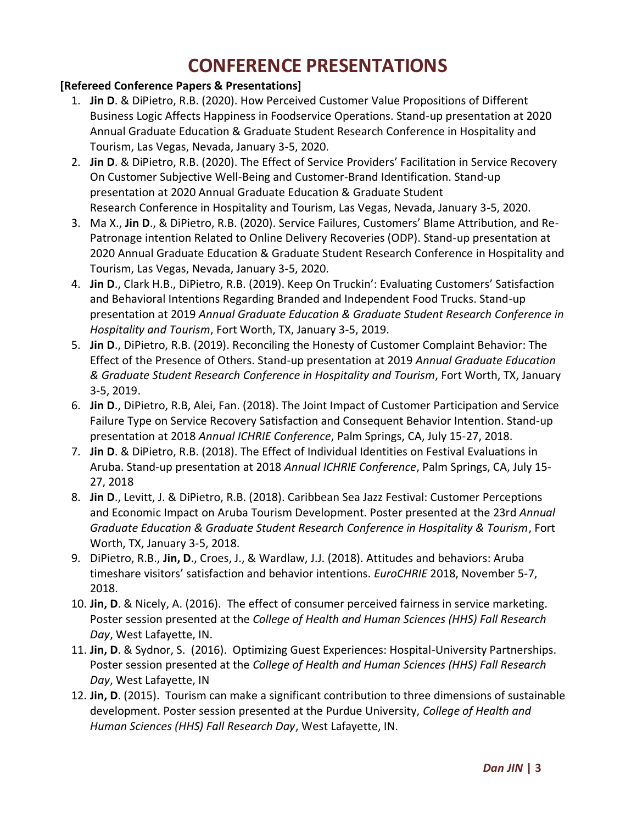# **CONFERENCE PRESENTATIONS**

### **[Refereed Conference Papers & Presentations]**

- 1. **Jin D**. & DiPietro, R.B. (2020). How Perceived Customer Value Propositions of Different Business Logic Affects Happiness in Foodservice Operations. Stand-up presentation at 2020 Annual Graduate Education & Graduate Student Research Conference in Hospitality and Tourism, Las Vegas, Nevada, January 3-5, 2020.
- 2. **Jin D**. & DiPietro, R.B. (2020). The Effect of Service Providers' Facilitation in Service Recovery On Customer Subjective Well-Being and Customer-Brand Identification. Stand-up presentation at 2020 Annual Graduate Education & Graduate Student Research Conference in Hospitality and Tourism, Las Vegas, Nevada, January 3-5, 2020.
- 3. Ma X., **Jin D**., & DiPietro, R.B. (2020). Service Failures, Customers' Blame Attribution, and Re-Patronage intention Related to Online Delivery Recoveries (ODP). Stand-up presentation at 2020 Annual Graduate Education & Graduate Student Research Conference in Hospitality and Tourism, Las Vegas, Nevada, January 3-5, 2020.
- 4. **Jin D**., Clark H.B., DiPietro, R.B. (2019). Keep On Truckin': Evaluating Customers' Satisfaction and Behavioral Intentions Regarding Branded and Independent Food Trucks. Stand-up presentation at 2019 *Annual Graduate Education & Graduate Student Research Conference in Hospitality and Tourism*, Fort Worth, TX, January 3-5, 2019.
- 5. **Jin D**., DiPietro, R.B. (2019). Reconciling the Honesty of Customer Complaint Behavior: The Effect of the Presence of Others. Stand-up presentation at 2019 *Annual Graduate Education & Graduate Student Research Conference in Hospitality and Tourism*, Fort Worth, TX, January 3-5, 2019.
- 6. **Jin D**., DiPietro, R.B, Alei, Fan. (2018). The Joint Impact of Customer Participation and Service Failure Type on Service Recovery Satisfaction and Consequent Behavior Intention. Stand-up presentation at 2018 *Annual ICHRIE Conference*, Palm Springs, CA, July 15-27, 2018.
- 7. **Jin D**. & DiPietro, R.B. (2018). The Effect of Individual Identities on Festival Evaluations in Aruba. Stand-up presentation at 2018 *Annual ICHRIE Conference*, Palm Springs, CA, July 15- 27, 2018
- 8. **Jin D**., Levitt, J. & DiPietro, R.B. (2018). Caribbean Sea Jazz Festival: Customer Perceptions and Economic Impact on Aruba Tourism Development. Poster presented at the 23rd *Annual Graduate Education & Graduate Student Research Conference in Hospitality & Tourism*, Fort Worth, TX, January 3-5, 2018.
- 9. DiPietro, R.B., **Jin, D**., Croes, J., & Wardlaw, J.J. (2018). Attitudes and behaviors: Aruba timeshare visitors' satisfaction and behavior intentions. *EuroCHRIE* 2018, November 5-7, 2018.
- 10. **Jin, D**. & Nicely, A. (2016). The effect of consumer perceived fairness in service marketing. Poster session presented at the *College of Health and Human Sciences (HHS) Fall Research Day*, West Lafayette, IN.
- 11. **Jin, D**. & Sydnor, S. (2016). Optimizing Guest Experiences: Hospital-University Partnerships. Poster session presented at the *College of Health and Human Sciences (HHS) Fall Research Day*, West Lafayette, IN
- 12. **Jin, D**. (2015). Tourism can make a significant contribution to three dimensions of sustainable development. Poster session presented at the Purdue University, *College of Health and Human Sciences (HHS) Fall Research Day*, West Lafayette, IN.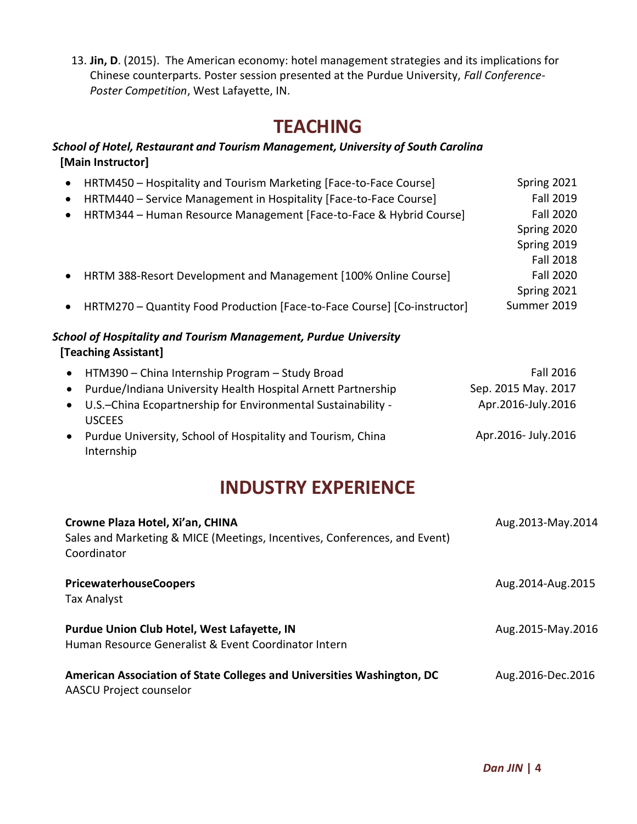13. **Jin, D**. (2015). The American economy: hotel management strategies and its implications for Chinese counterparts. Poster session presented at the Purdue University, *Fall Conference-Poster Competition*, West Lafayette, IN.

### **TEACHING**

### *School of Hotel, Restaurant and Tourism Management, University of South Carolina* **[Main Instructor]**

| HRTM450 - Hospitality and Tourism Marketing [Face-to-Face Course]<br>$\bullet$          | Spring 2021         |
|-----------------------------------------------------------------------------------------|---------------------|
| HRTM440 - Service Management in Hospitality [Face-to-Face Course]<br>٠                  | <b>Fall 2019</b>    |
| HRTM344 - Human Resource Management [Face-to-Face & Hybrid Course]<br>٠                 | <b>Fall 2020</b>    |
|                                                                                         | Spring 2020         |
|                                                                                         | Spring 2019         |
|                                                                                         | <b>Fall 2018</b>    |
| HRTM 388-Resort Development and Management [100% Online Course]<br>$\bullet$            | <b>Fall 2020</b>    |
|                                                                                         | Spring 2021         |
| HRTM270 - Quantity Food Production [Face-to-Face Course] [Co-instructor]<br>$\bullet$   | Summer 2019         |
| School of Hospitality and Tourism Management, Purdue University<br>[Teaching Assistant] |                     |
| HTM390 - China Internship Program - Study Broad                                         | <b>Fall 2016</b>    |
| Purdue/Indiana University Health Hospital Arnett Partnership                            | Sep. 2015 May. 2017 |
| U.S.-China Ecopartnership for Environmental Sustainability -<br><b>USCEES</b>           | Apr.2016-July.2016  |
| Purdue University, School of Hospitality and Tourism, China                             | Apr.2016- July.2016 |

• Purdue University, School of Hospitality and Tourism, China Internship

# **INDUSTRY EXPERIENCE**

| Crowne Plaza Hotel, Xi'an, CHINA<br>Sales and Marketing & MICE (Meetings, Incentives, Conferences, and Event)<br>Coordinator | Aug.2013-May.2014 |
|------------------------------------------------------------------------------------------------------------------------------|-------------------|
| <b>PricewaterhouseCoopers</b><br><b>Tax Analyst</b>                                                                          | Aug.2014-Aug.2015 |
| Purdue Union Club Hotel, West Lafayette, IN<br>Human Resource Generalist & Event Coordinator Intern                          | Aug.2015-May.2016 |
| American Association of State Colleges and Universities Washington, DC<br>AASCU Project counselor                            | Aug.2016-Dec.2016 |